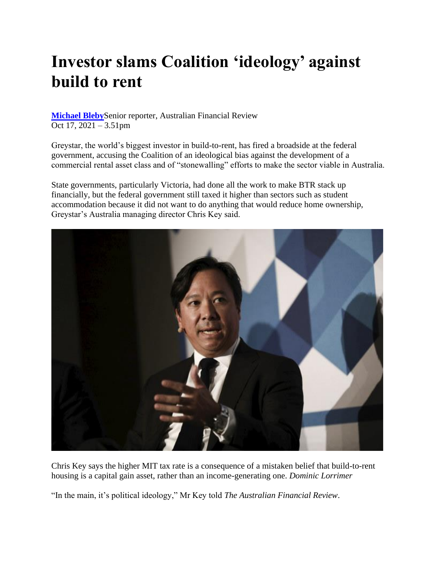## **Investor slams Coalition 'ideology' against build to rent**

**[Michael Bleby](https://www.afr.com/by/michael-bleby-j67se)**Senior reporter, Australian Financial Review Oct 17, 2021 – 3.51pm

Greystar, the world's biggest investor in build-to-rent, has fired a broadside at the federal government, accusing the Coalition of an ideological bias against the development of a commercial rental asset class and of "stonewalling" efforts to make the sector viable in Australia.

State governments, particularly Victoria, had done all the work to make BTR stack up financially, but the federal government still taxed it higher than sectors such as student accommodation because it did not want to do anything that would reduce home ownership, Greystar's Australia managing director Chris Key said.



Chris Key says the higher MIT tax rate is a consequence of a mistaken belief that build-to-rent housing is a capital gain asset, rather than an income-generating one. *Dominic Lorrimer* 

"In the main, it's political ideology," Mr Key told *The Australian Financial Review*.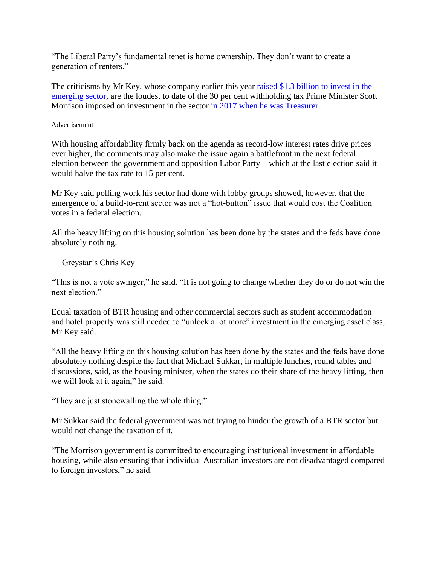"The Liberal Party's fundamental tenet is home ownership. They don't want to create a generation of renters."

The criticisms by Mr Key, whose company earlier this year [raised \\$1.3 billion to invest in the](https://www.afr.com/property/residential/greystar-s-record-1-3b-raise-for-build-to-rent-20210210-p5715s)  [emerging sector,](https://www.afr.com/property/residential/greystar-s-record-1-3b-raise-for-build-to-rent-20210210-p5715s) are the loudest to date of the 30 per cent withholding tax Prime Minister Scott Morrison imposed on investment in the sector [in 2017 when he was Treasurer.](https://www.afr.com/policy/economy/buildtorent-investors-ambushed-by-scott-morrisons-sudden-trust-change-20170915-gyigzj)

## Advertisement

With housing affordability firmly back on the agenda as record-low interest rates drive prices ever higher, the comments may also make the issue again a battlefront in the next federal election between the government and opposition Labor Party – which at the last election said it would halve the tax rate to 15 per cent.

Mr Key said polling work his sector had done with lobby groups showed, however, that the emergence of a build-to-rent sector was not a "hot-button" issue that would cost the Coalition votes in a federal election.

All the heavy lifting on this housing solution has been done by the states and the feds have done absolutely nothing.

## — Greystar's Chris Key

"This is not a vote swinger," he said. "It is not going to change whether they do or do not win the next election."

Equal taxation of BTR housing and other commercial sectors such as student accommodation and hotel property was still needed to "unlock a lot more" investment in the emerging asset class, Mr Key said.

"All the heavy lifting on this housing solution has been done by the states and the feds have done absolutely nothing despite the fact that Michael Sukkar, in multiple lunches, round tables and discussions, said, as the housing minister, when the states do their share of the heavy lifting, then we will look at it again," he said.

"They are just stonewalling the whole thing."

Mr Sukkar said the federal government was not trying to hinder the growth of a BTR sector but would not change the taxation of it.

"The Morrison government is committed to encouraging institutional investment in affordable housing, while also ensuring that individual Australian investors are not disadvantaged compared to foreign investors," he said.